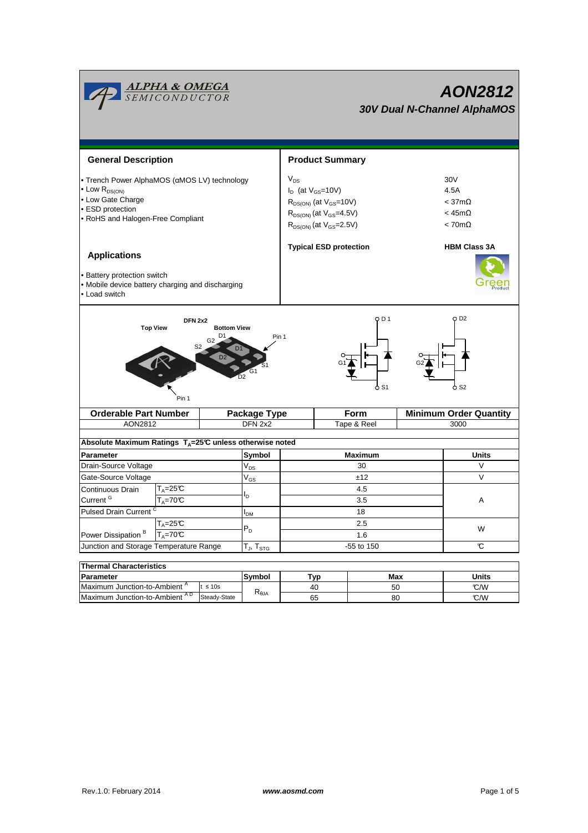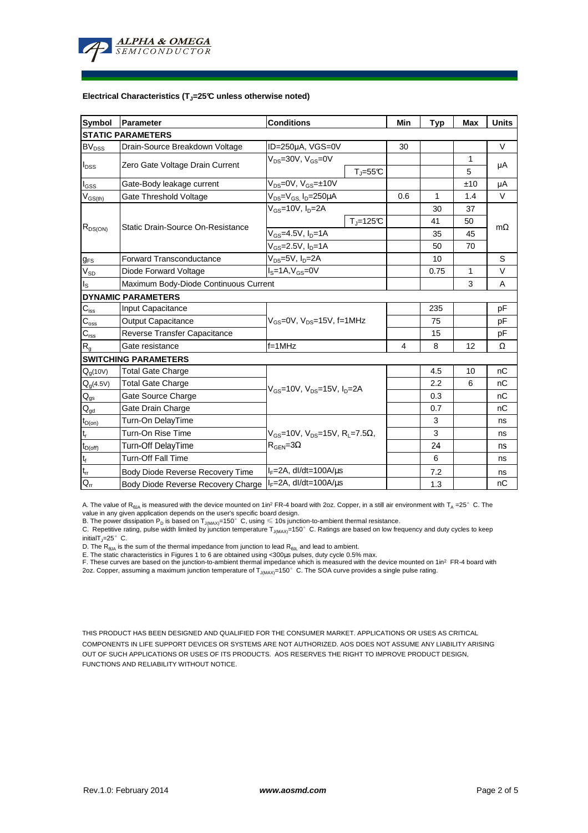

#### **Electrical Characteristics (TJ=25°C unless otherwise noted)**

| Symbol                                | Parameter                             | <b>Conditions</b>                                                                                 |                       | Min | Typ          | <b>Max</b> | <b>Units</b> |  |
|---------------------------------------|---------------------------------------|---------------------------------------------------------------------------------------------------|-----------------------|-----|--------------|------------|--------------|--|
|                                       | <b>STATIC PARAMETERS</b>              |                                                                                                   |                       |     |              |            |              |  |
| <b>BV<sub>DSS</sub></b>               | Drain-Source Breakdown Voltage        | ID=250µA, VGS=0V                                                                                  |                       | 30  |              |            | $\vee$       |  |
| $I_{\text{DSS}}$                      | Zero Gate Voltage Drain Current       | $V_{DS} = 30V$ , $V_{GS} = 0V$                                                                    |                       |     |              | 1          |              |  |
|                                       |                                       |                                                                                                   | $T_{J} = 55^{\circ}C$ |     |              | 5          | μA           |  |
| $I_{GSS}$                             | Gate-Body leakage current             | $V_{DS} = 0V$ , $V_{GS} = \pm 10V$                                                                |                       |     |              | ±10        | μA           |  |
| $V_{GS$                               | Gate Threshold Voltage                | $\overline{V_{DS}}$ = $V_{GS}$ , I <sub>D</sub> =250µA                                            |                       | 0.6 | $\mathbf{1}$ | 1.4        | $\vee$       |  |
| $R_{DS(ON)}$                          | Static Drain-Source On-Resistance     | $V_{GS}$ =10V, $I_D$ =2A                                                                          |                       |     | 30           | 37         |              |  |
|                                       |                                       |                                                                                                   | $T_i = 125^\circ C$   |     | 41           | 50         |              |  |
|                                       |                                       | $V_{GS}$ =4.5V, $I_{D}$ =1A                                                                       |                       |     | 35           | 45         | mΩ           |  |
|                                       |                                       | $V_{GS} = 2.5V, I_D = 1A$                                                                         |                       |     | 50           | 70         |              |  |
| $g_{FS}$                              | <b>Forward Transconductance</b>       | $V_{DS}$ =5V, I <sub>D</sub> =2A                                                                  |                       |     | 10           |            | S            |  |
| $V_{SD}$                              | Diode Forward Voltage                 | $IS=1A, VGS=0V$                                                                                   |                       |     | 0.75         | 1          | $\vee$       |  |
| $I_{\rm S}$                           | Maximum Body-Diode Continuous Current |                                                                                                   |                       |     | 3            | A          |              |  |
|                                       | <b>DYNAMIC PARAMETERS</b>             |                                                                                                   |                       |     |              |            |              |  |
| $\mathbf{C}_{\text{iss}}$             | Input Capacitance                     | $V_{GS}$ =0V, $V_{DS}$ =15V, f=1MHz                                                               |                       |     | 235          |            | pF           |  |
| $\mathbf{C}_{\underline{\text{oss}}}$ | <b>Output Capacitance</b>             |                                                                                                   |                       |     | 75           |            | рF           |  |
| $\mathbf{C}_{\text{rss}}$             | Reverse Transfer Capacitance          |                                                                                                   |                       |     | 15           |            | рF           |  |
| $R_{g}$                               | Gate resistance                       | $f = 1$ MHz                                                                                       |                       | 4   | 8            | 12         | Ω            |  |
|                                       | <b>SWITCHING PARAMETERS</b>           |                                                                                                   |                       |     |              |            |              |  |
| $Q_q(10V)$                            | <b>Total Gate Charge</b>              | $V_{GS}$ =10V, $V_{DS}$ =15V, $I_{D}$ =2A                                                         |                       |     | 4.5          | 10         | nC           |  |
| $Q_g(4.5V)$                           | <b>Total Gate Charge</b>              |                                                                                                   |                       |     | 2.2          | 6          | nC           |  |
| $Q_{gs}$                              | Gate Source Charge                    |                                                                                                   |                       |     | 0.3          |            | nC           |  |
| $Q_{gd}$                              | Gate Drain Charge                     |                                                                                                   |                       |     | 0.7          |            | nC           |  |
| $t_{D(on)}$                           | Turn-On DelayTime                     |                                                                                                   |                       |     | 3            |            | ns           |  |
| $\mathsf{t}_{\mathsf{r}}$             | Turn-On Rise Time                     | $V_{\text{GS}} = 10V$ , $V_{\text{DS}} = 15V$ , $R_1 = 7.5\Omega$ ,<br>$R_{\text{GEN}} = 3\Omega$ |                       |     | 3            |            | ns           |  |
| $t_{D(off)}$                          | Turn-Off DelayTime                    |                                                                                                   |                       |     | 24           |            | ns           |  |
| $\mathbf{t}_\text{f}$                 | Turn-Off Fall Time                    |                                                                                                   |                       |     | 6            |            | ns           |  |
| $\mathfrak{t}_{\text{rr}}$            | Body Diode Reverse Recovery Time      | $I_F = 2A$ , dl/dt=100A/ $\mu$ s                                                                  |                       |     | 7.2          |            | ns           |  |
| $Q_{rr}$                              | Body Diode Reverse Recovery Charge    | $I_F = 2A$ , dl/dt=100A/us                                                                        |                       |     | 1.3          |            | nC           |  |

A. The value of R<sub>BJA</sub> is measured with the device mounted on 1in<sup>2</sup> FR-4 board with 2oz. Copper, in a still air environment with T<sub>A</sub> =25°C. The

value in any given application depends on the user's specific board design.<br>B. The power dissipation P<sub>D</sub> is based on T<sub>J(MAX)</sub>=150°C, using ≤ 10s junction-to-ambient thermal resistance.

C. Repetitive rating, pulse width limited by junction temperature  $T_{J(MAX)}$ =150°C. Ratings are based on low frequency and duty cycles to keep initialT $j=25^\circ$  C.

D. The  $R_{\thetaJA}$  is the sum of the thermal impedance from junction to lead  $R_{\thetaJL}$  and lead to ambient.

E. The static characteristics in Figures 1 to 6 are obtained using <300µs pulses, duty cycle 0.5% max.<br>F. These curves are based on the junction-to-ambient thermal impedance which is measured with the device mounted on 1in

THIS PRODUCT HAS BEEN DESIGNED AND QUALIFIED FOR THE CONSUMER MARKET. APPLICATIONS OR USES AS CRITICAL COMPONENTS IN LIFE SUPPORT DEVICES OR SYSTEMS ARE NOT AUTHORIZED. AOS DOES NOT ASSUME ANY LIABILITY ARISING OUT OF SUCH APPLICATIONS OR USES OF ITS PRODUCTS. AOS RESERVES THE RIGHT TO IMPROVE PRODUCT DESIGN, FUNCTIONS AND RELIABILITY WITHOUT NOTICE.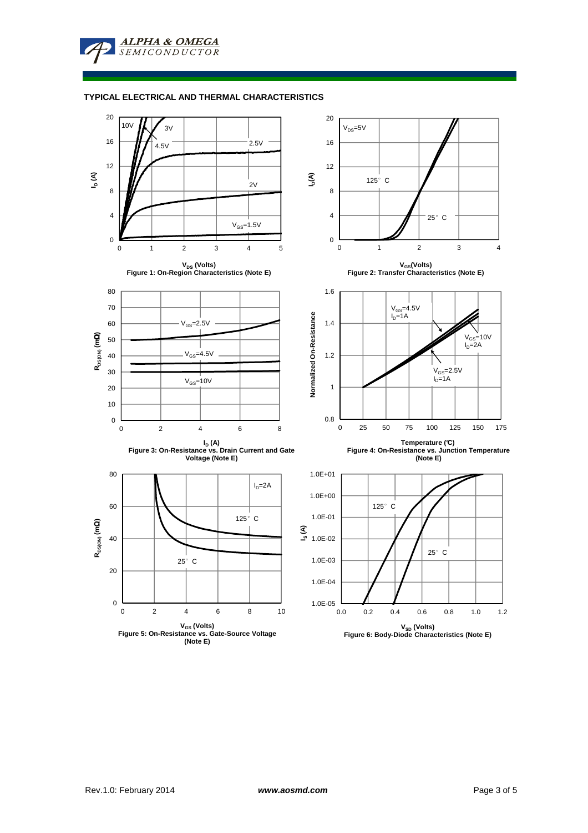**ALPHA & OMEGA SEMICONDUCTOR** 

### **TYPICAL ELECTRICAL AND THERMAL CHARACTERISTICS**

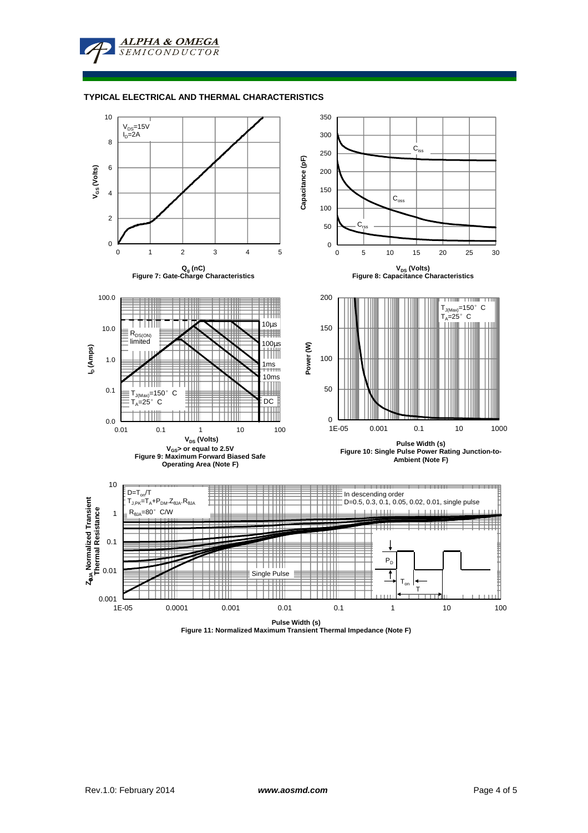**ALPHA & OMEGA** SEMICONDUCTOR

#### **TYPICAL ELECTRICAL AND THERMAL CHARACTERISTICS**



**Pulse Width (s) Figure 11: Normalized Maximum Transient Thermal Impedance (Note F)**